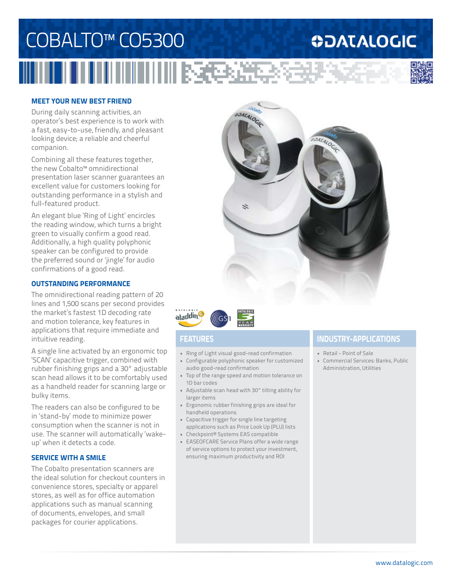## COBALTO™ CO5300 **ODATALOGIC**



## **MEET YOUR NEW BEST FRIEND**

During daily scanning activities, an operator's best experience is to work with a fast, easy-to-use, friendly, and pleasant looking device; a reliable and cheerful companion.

Combining all these features together, the new Cobalto™ omnidirectional presentation laser scanner guarantees an excellent value for customers looking for outstanding performance in a stylish and full-featured product.

An elegant blue 'Ring of Light' encircles the reading window, which turns a bright green to visually confirm a good read. Additionally, a high quality polyphonic speaker can be configured to provide the preferred sound or 'jingle' for audio confirmations of a good read.

### **OUTSTANDING PERFORMANCE**

The omnidirectional reading pattern of 20 lines and 1,500 scans per second provides the market's fastest 1D decoding rate and motion tolerance, key features in applications that require immediate and intuitive reading.

A single line activated by an ergonomic top 'SCAN' capacitive trigger, combined with rubber finishing grips and a 30° adjustable scan head allows it to be comfortably used as a handheld reader for scanning large or bulky items.

The readers can also be configured to be in 'stand-by' mode to minimize power consumption when the scanner is not in use. The scanner will automatically 'wakeup' when it detects a code.

## **SERVICE WITH A SMILE**

The Cobalto presentation scanners are the ideal solution for checkout counters in convenience stores, specialty or apparel stores, as well as for office automation applications such as manual scanning of documents, envelopes, and small packages for courier applications.





- Ring of Light visual good-read confirmation
- Configurable polyphonic speaker for customized audio good-read confirmation
- Top of the range speed and motion tolerance on 1D bar codes
- Adjustable scan head with 30° tilting ability for larger items
- Ergonomic rubber finishing grips are ideal for handheld operations
- Capacitive trigger for single line targeting applications such as Price Look Up (PLU) lists
- Checkpoint® Systems EAS compatible
- EASEOFCARE Service Plans offer a wide range of service options to protect your investment, ensuring maximum productivity and ROI

## **FEATURES INDUSTRY-APPLICATIONS**

- Retail Point of Sale
- Commercial Services: Banks, Public Administration, Utilities